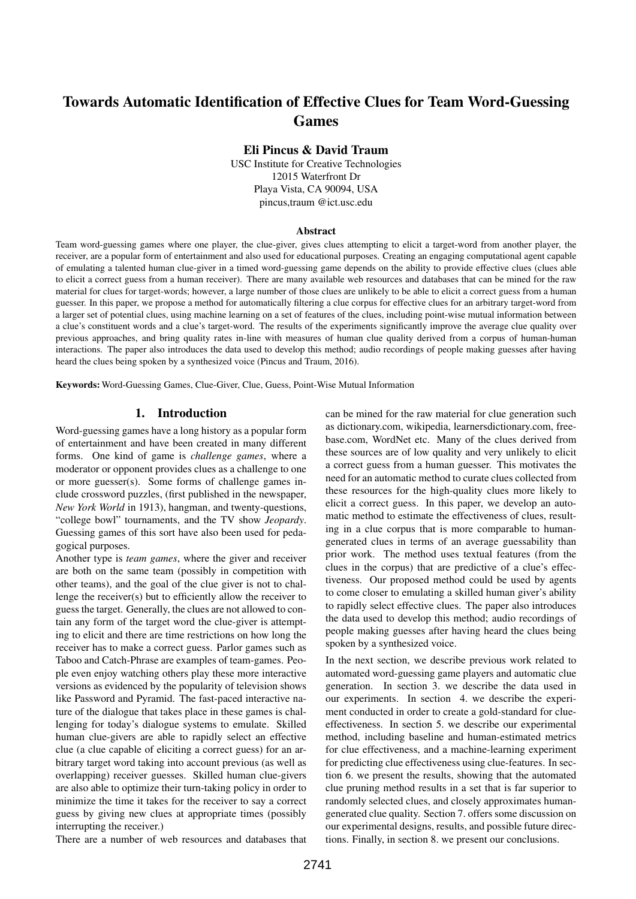# Towards Automatic Identification of Effective Clues for Team Word-Guessing Games

### Eli Pincus & David Traum

USC Institute for Creative Technologies 12015 Waterfront Dr Playa Vista, CA 90094, USA pincus,traum @ict.usc.edu

#### Abstract

Team word-guessing games where one player, the clue-giver, gives clues attempting to elicit a target-word from another player, the receiver, are a popular form of entertainment and also used for educational purposes. Creating an engaging computational agent capable of emulating a talented human clue-giver in a timed word-guessing game depends on the ability to provide effective clues (clues able to elicit a correct guess from a human receiver). There are many available web resources and databases that can be mined for the raw material for clues for target-words; however, a large number of those clues are unlikely to be able to elicit a correct guess from a human guesser. In this paper, we propose a method for automatically filtering a clue corpus for effective clues for an arbitrary target-word from a larger set of potential clues, using machine learning on a set of features of the clues, including point-wise mutual information between a clue's constituent words and a clue's target-word. The results of the experiments significantly improve the average clue quality over previous approaches, and bring quality rates in-line with measures of human clue quality derived from a corpus of human-human interactions. The paper also introduces the data used to develop this method; audio recordings of people making guesses after having heard the clues being spoken by a synthesized voice (Pincus and Traum, 2016).

Keywords: Word-Guessing Games, Clue-Giver, Clue, Guess, Point-Wise Mutual Information

#### 1. Introduction

Word-guessing games have a long history as a popular form of entertainment and have been created in many different forms. One kind of game is *challenge games*, where a moderator or opponent provides clues as a challenge to one or more guesser(s). Some forms of challenge games include crossword puzzles, (first published in the newspaper, *New York World* in 1913), hangman, and twenty-questions, "college bowl" tournaments, and the TV show *Jeopardy*. Guessing games of this sort have also been used for pedagogical purposes.

Another type is *team games*, where the giver and receiver are both on the same team (possibly in competition with other teams), and the goal of the clue giver is not to challenge the receiver(s) but to efficiently allow the receiver to guess the target. Generally, the clues are not allowed to contain any form of the target word the clue-giver is attempting to elicit and there are time restrictions on how long the receiver has to make a correct guess. Parlor games such as Taboo and Catch-Phrase are examples of team-games. People even enjoy watching others play these more interactive versions as evidenced by the popularity of television shows like Password and Pyramid. The fast-paced interactive nature of the dialogue that takes place in these games is challenging for today's dialogue systems to emulate. Skilled human clue-givers are able to rapidly select an effective clue (a clue capable of eliciting a correct guess) for an arbitrary target word taking into account previous (as well as overlapping) receiver guesses. Skilled human clue-givers are also able to optimize their turn-taking policy in order to minimize the time it takes for the receiver to say a correct guess by giving new clues at appropriate times (possibly interrupting the receiver.)

There are a number of web resources and databases that

can be mined for the raw material for clue generation such as dictionary.com, wikipedia, learnersdictionary.com, freebase.com, WordNet etc. Many of the clues derived from these sources are of low quality and very unlikely to elicit a correct guess from a human guesser. This motivates the need for an automatic method to curate clues collected from these resources for the high-quality clues more likely to elicit a correct guess. In this paper, we develop an automatic method to estimate the effectiveness of clues, resulting in a clue corpus that is more comparable to humangenerated clues in terms of an average guessability than prior work. The method uses textual features (from the clues in the corpus) that are predictive of a clue's effectiveness. Our proposed method could be used by agents to come closer to emulating a skilled human giver's ability to rapidly select effective clues. The paper also introduces the data used to develop this method; audio recordings of people making guesses after having heard the clues being spoken by a synthesized voice.

In the next section, we describe previous work related to automated word-guessing game players and automatic clue generation. In section 3. we describe the data used in our experiments. In section 4. we describe the experiment conducted in order to create a gold-standard for clueeffectiveness. In section 5. we describe our experimental method, including baseline and human-estimated metrics for clue effectiveness, and a machine-learning experiment for predicting clue effectiveness using clue-features. In section 6. we present the results, showing that the automated clue pruning method results in a set that is far superior to randomly selected clues, and closely approximates humangenerated clue quality. Section 7. offers some discussion on our experimental designs, results, and possible future directions. Finally, in section 8. we present our conclusions.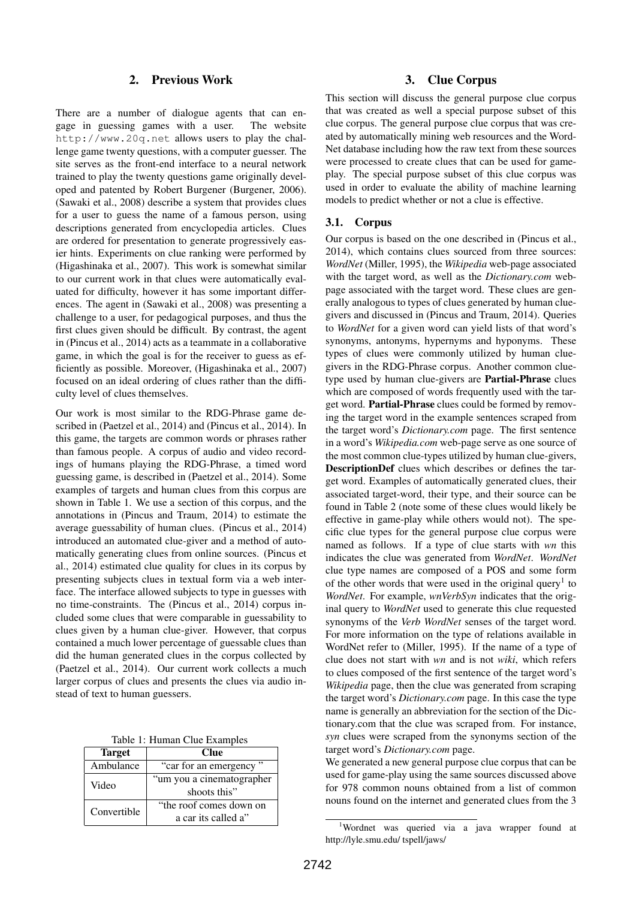## 2. Previous Work

There are a number of dialogue agents that can engage in guessing games with a user. The website http://www.20q.net allows users to play the challenge game twenty questions, with a computer guesser. The site serves as the front-end interface to a neural network trained to play the twenty questions game originally developed and patented by Robert Burgener (Burgener, 2006). (Sawaki et al., 2008) describe a system that provides clues for a user to guess the name of a famous person, using descriptions generated from encyclopedia articles. Clues are ordered for presentation to generate progressively easier hints. Experiments on clue ranking were performed by (Higashinaka et al., 2007). This work is somewhat similar to our current work in that clues were automatically evaluated for difficulty, however it has some important differences. The agent in (Sawaki et al., 2008) was presenting a challenge to a user, for pedagogical purposes, and thus the first clues given should be difficult. By contrast, the agent in (Pincus et al., 2014) acts as a teammate in a collaborative game, in which the goal is for the receiver to guess as efficiently as possible. Moreover, (Higashinaka et al., 2007) focused on an ideal ordering of clues rather than the difficulty level of clues themselves.

Our work is most similar to the RDG-Phrase game described in (Paetzel et al., 2014) and (Pincus et al., 2014). In this game, the targets are common words or phrases rather than famous people. A corpus of audio and video recordings of humans playing the RDG-Phrase, a timed word guessing game, is described in (Paetzel et al., 2014). Some examples of targets and human clues from this corpus are shown in Table 1. We use a section of this corpus, and the annotations in (Pincus and Traum, 2014) to estimate the average guessability of human clues. (Pincus et al., 2014) introduced an automated clue-giver and a method of automatically generating clues from online sources. (Pincus et al., 2014) estimated clue quality for clues in its corpus by presenting subjects clues in textual form via a web interface. The interface allowed subjects to type in guesses with no time-constraints. The (Pincus et al., 2014) corpus included some clues that were comparable in guessability to clues given by a human clue-giver. However, that corpus contained a much lower percentage of guessable clues than did the human generated clues in the corpus collected by (Paetzel et al., 2014). Our current work collects a much larger corpus of clues and presents the clues via audio instead of text to human guessers.

|  |  |  | Table 1: Human Clue Examples |
|--|--|--|------------------------------|
|--|--|--|------------------------------|

| <b>Target</b> | <b>Clue</b>               |  |
|---------------|---------------------------|--|
| Ambulance     | "car for an emergency"    |  |
| Video         | "um you a cinematographer |  |
|               | shoots this"              |  |
| Convertible   | "the roof comes down on   |  |
|               | a car its called a"       |  |

### 3. Clue Corpus

This section will discuss the general purpose clue corpus that was created as well a special purpose subset of this clue corpus. The general purpose clue corpus that was created by automatically mining web resources and the Word-Net database including how the raw text from these sources were processed to create clues that can be used for gameplay. The special purpose subset of this clue corpus was used in order to evaluate the ability of machine learning models to predict whether or not a clue is effective.

#### 3.1. Corpus

Our corpus is based on the one described in (Pincus et al., 2014), which contains clues sourced from three sources: *WordNet* (Miller, 1995), the *Wikipedia* web-page associated with the target word, as well as the *Dictionary.com* webpage associated with the target word. These clues are generally analogous to types of clues generated by human cluegivers and discussed in (Pincus and Traum, 2014). Queries to *WordNet* for a given word can yield lists of that word's synonyms, antonyms, hypernyms and hyponyms. These types of clues were commonly utilized by human cluegivers in the RDG-Phrase corpus. Another common cluetype used by human clue-givers are Partial-Phrase clues which are composed of words frequently used with the target word. Partial-Phrase clues could be formed by removing the target word in the example sentences scraped from the target word's *Dictionary.com* page. The first sentence in a word's *Wikipedia.com* web-page serve as one source of the most common clue-types utilized by human clue-givers, DescriptionDef clues which describes or defines the target word. Examples of automatically generated clues, their associated target-word, their type, and their source can be found in Table 2 (note some of these clues would likely be effective in game-play while others would not). The specific clue types for the general purpose clue corpus were named as follows. If a type of clue starts with *wn* this indicates the clue was generated from *WordNet*. *WordNet* clue type names are composed of a POS and some form of the other words that were used in the original query<sup>1</sup> to *WordNet*. For example, *wnVerbSyn* indicates that the original query to *WordNet* used to generate this clue requested synonyms of the *Verb WordNet* senses of the target word. For more information on the type of relations available in WordNet refer to (Miller, 1995). If the name of a type of clue does not start with *wn* and is not *wiki*, which refers to clues composed of the first sentence of the target word's *Wikipedia* page, then the clue was generated from scraping the target word's *Dictionary.com* page. In this case the type name is generally an abbreviation for the section of the Dictionary.com that the clue was scraped from. For instance, *syn* clues were scraped from the synonyms section of the target word's *Dictionary.com* page.

We generated a new general purpose clue corpus that can be used for game-play using the same sources discussed above for 978 common nouns obtained from a list of common nouns found on the internet and generated clues from the 3

<sup>1</sup>Wordnet was queried via a java wrapper found at http://lyle.smu.edu/ tspell/jaws/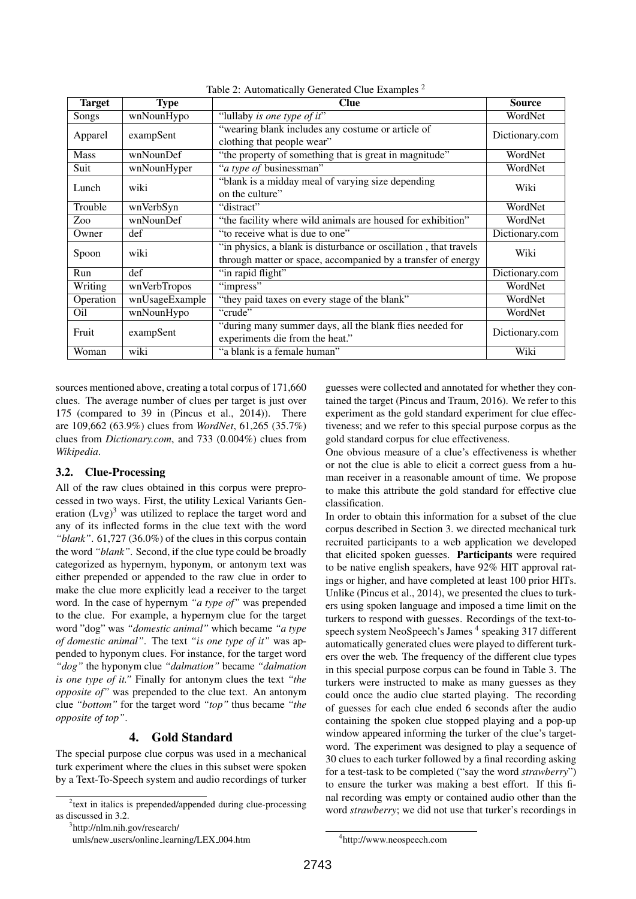| Target      | <b>Type</b>    | Clue                                                                                                                             | <b>Source</b>  |
|-------------|----------------|----------------------------------------------------------------------------------------------------------------------------------|----------------|
| Songs       | wnNounHypo     | "lullaby is one type of it"                                                                                                      | WordNet        |
| Apparel     | exampSent      | "wearing blank includes any costume or article of<br>clothing that people wear"                                                  | Dictionary.com |
| <b>Mass</b> | wnNounDef      | "the property of something that is great in magnitude"                                                                           | WordNet        |
| Suit        | wnNounHyper    | " <i>a type of businessman</i> "                                                                                                 | WordNet        |
| Lunch       | wiki           | "blank is a midday meal of varying size depending<br>on the culture"                                                             | Wiki           |
| Trouble     | wnVerbSyn      | "distract"                                                                                                                       | WordNet        |
| Zoo         | wnNounDef      | "the facility where wild animals are housed for exhibition"                                                                      | WordNet        |
| Owner       | def            | "to receive what is due to one"                                                                                                  | Dictionary.com |
| Spoon       | wiki           | "in physics, a blank is disturbance or oscillation, that travels<br>through matter or space, accompanied by a transfer of energy | Wiki           |
| Run         | def            | "in rapid flight"                                                                                                                | Dictionary.com |
| Writing     | wnVerbTropos   | "impress"                                                                                                                        | WordNet        |
| Operation   | wnUsageExample | "they paid taxes on every stage of the blank"                                                                                    | WordNet        |
| Oil         | wnNounHypo     | "crude"                                                                                                                          | WordNet        |
| Fruit       | exampSent      | "during many summer days, all the blank flies needed for<br>experiments die from the heat."                                      | Dictionary.com |
| Woman       | wiki           | "a blank is a female human"                                                                                                      | Wiki           |

Table 2: Automatically Generated Clue Examples <sup>2</sup>

sources mentioned above, creating a total corpus of 171,660 clues. The average number of clues per target is just over 175 (compared to 39 in (Pincus et al., 2014)). There are 109,662 (63.9%) clues from *WordNet*, 61,265 (35.7%) clues from *Dictionary.com*, and 733 (0.004%) clues from *Wikipedia*.

#### 3.2. Clue-Processing

All of the raw clues obtained in this corpus were preprocessed in two ways. First, the utility Lexical Variants Generation  $(Lvg)^3$  was utilized to replace the target word and any of its inflected forms in the clue text with the word *"blank"*. 61,727 (36.0%) of the clues in this corpus contain the word *"blank"*. Second, if the clue type could be broadly categorized as hypernym, hyponym, or antonym text was either prepended or appended to the raw clue in order to make the clue more explicitly lead a receiver to the target word. In the case of hypernym *"a type of"* was prepended to the clue. For example, a hypernym clue for the target word "dog" was *"domestic animal"* which became *"a type of domestic animal"*. The text *"is one type of it"* was appended to hyponym clues. For instance, for the target word *"dog"* the hyponym clue *"dalmation"* became *"dalmation is one type of it."* Finally for antonym clues the text *"the opposite of"* was prepended to the clue text. An antonym clue *"bottom"* for the target word *"top"* thus became *"the opposite of top"*.

### 4. Gold Standard

The special purpose clue corpus was used in a mechanical turk experiment where the clues in this subset were spoken by a Text-To-Speech system and audio recordings of turker guesses were collected and annotated for whether they contained the target (Pincus and Traum, 2016). We refer to this experiment as the gold standard experiment for clue effectiveness; and we refer to this special purpose corpus as the gold standard corpus for clue effectiveness.

One obvious measure of a clue's effectiveness is whether or not the clue is able to elicit a correct guess from a human receiver in a reasonable amount of time. We propose to make this attribute the gold standard for effective clue classification.

In order to obtain this information for a subset of the clue corpus described in Section 3. we directed mechanical turk recruited participants to a web application we developed that elicited spoken guesses. Participants were required to be native english speakers, have 92% HIT approval ratings or higher, and have completed at least 100 prior HITs. Unlike (Pincus et al., 2014), we presented the clues to turkers using spoken language and imposed a time limit on the turkers to respond with guesses. Recordings of the text-tospeech system NeoSpeech's James<sup>4</sup> speaking 317 different automatically generated clues were played to different turkers over the web. The frequency of the different clue types in this special purpose corpus can be found in Table 3. The turkers were instructed to make as many guesses as they could once the audio clue started playing. The recording of guesses for each clue ended 6 seconds after the audio containing the spoken clue stopped playing and a pop-up window appeared informing the turker of the clue's targetword. The experiment was designed to play a sequence of 30 clues to each turker followed by a final recording asking for a test-task to be completed ("say the word *strawberry*") to ensure the turker was making a best effort. If this final recording was empty or contained audio other than the word *strawberry*; we did not use that turker's recordings in

4 http://www.neospeech.com

<sup>&</sup>lt;sup>2</sup> text in italics is prepended/appended during clue-processing as discussed in 3.2.

<sup>3</sup> http://nlm.nih.gov/research/

umls/new\_users/online\_learning/LEX\_004.htm

<sup>2743</sup>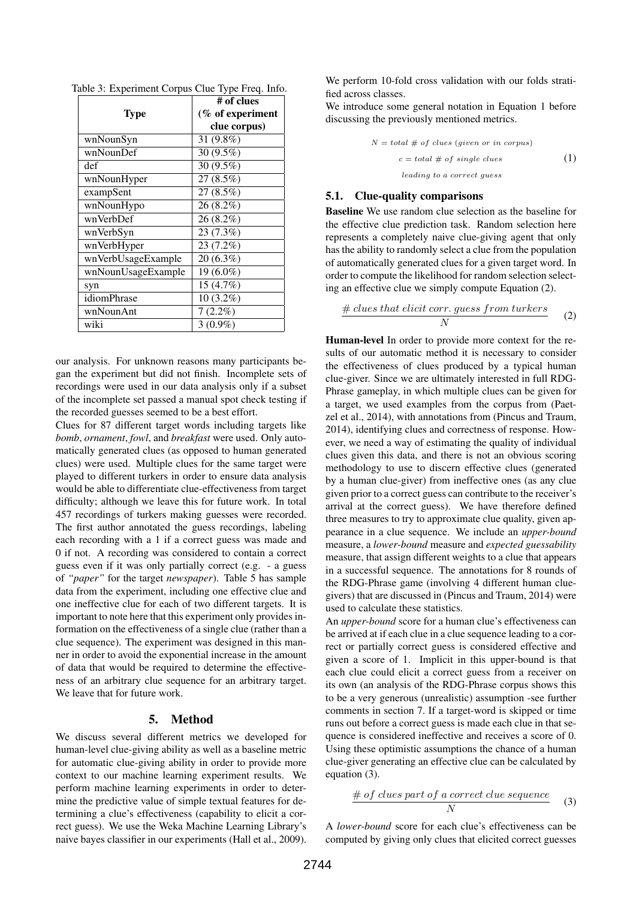|                    | # of clues       |
|--------------------|------------------|
| Type               | (% of experiment |
|                    | clue corpus)     |
| wnNounSyn          | 31 (9.8%)        |
| wnNounDef          | 30 (9.5%)        |
| def                | 30 (9.5%)        |
| wnNounHyper        | $27(8.5\%)$      |
| exampSent          | 27 (8.5%)        |
| wnNounHypo         | 26 (8.2%)        |
| wnVerbDef          | 26 (8.2%)        |
| wnVerbSyn          | 23 (7.3%)        |
| wnVerbHyper        | $23(7.2\%)$      |
| wnVerbUsageExample | $20(6.3\%)$      |
| wnNounUsageExample | 19 (6.0%)        |
| syn                | 15(4.7%)         |
| idiomPhrase        | $10(3.2\%)$      |
| wnNounAnt          | $7(2.2\%)$       |
| wiki               | $3(0.9\%)$       |

Table 3: Experiment Corpus Clue Type Freq. Info.

our analysis. For unknown reasons many participants began the experiment but did not finish. Incomplete sets of recordings were used in our data analysis only if a subset of the incomplete set passed a manual spot check testing if the recorded guesses seemed to be a best effort.

Clues for 87 different target words including targets like *bomb*, *ornament*, *fowl*, and *breakfast* were used. Only automatically generated clues (as opposed to human generated clues) were used. Multiple clues for the same target were played to different turkers in order to ensure data analysis would be able to differentiate clue-effectiveness from target difficulty; although we leave this for future work. In total 457 recordings of turkers making guesses were recorded. The first author annotated the guess recordings, labeling each recording with a 1 if a correct guess was made and 0 if not. A recording was considered to contain a correct guess even if it was only partially correct (e.g. - a guess of *"paper"* for the target *newspaper*). Table 5 has sample data from the experiment, including one effective clue and one ineffective clue for each of two different targets. It is important to note here that this experiment only provides information on the effectiveness of a single clue (rather than a clue sequence). The experiment was designed in this manner in order to avoid the exponential increase in the amount of data that would be required to determine the effectiveness of an arbitrary clue sequence for an arbitrary target. We leave that for future work.

## 5. Method

We discuss several different metrics we developed for human-level clue-giving ability as well as a baseline metric for automatic clue-giving ability in order to provide more context to our machine learning experiment results. We perform machine learning experiments in order to determine the predictive value of simple textual features for determining a clue's effectiveness (capability to elicit a correct guess). We use the Weka Machine Learning Library's naive bayes classifier in our experiments (Hall et al., 2009).

We perform 10-fold cross validation with our folds stratified across classes.

We introduce some general notation in Equation 1 before discussing the previously mentioned metrics.

$$
N = total \# of clues (given or in corpus)
$$
  

$$
c = total \# of single clues
$$
  

$$
leading to a correct guess
$$
 (1)

#### 5.1. Clue-quality comparisons

Baseline We use random clue selection as the baseline for the effective clue prediction task. Random selection here represents a completely naive clue-giving agent that only has the ability to randomly select a clue from the population of automatically generated clues for a given target word. In order to compute the likelihood for random selection selecting an effective clue we simply compute Equation (2).

$$
\frac{\# \text{ clues that elicit corr. guess from turkers}}{N} \tag{2}
$$

Human-level In order to provide more context for the results of our automatic method it is necessary to consider the effectiveness of clues produced by a typical human clue-giver. Since we are ultimately interested in full RDG-Phrase gameplay, in which multiple clues can be given for a target, we used examples from the corpus from (Paetzel et al., 2014), with annotations from (Pincus and Traum, 2014), identifying clues and correctness of response. However, we need a way of estimating the quality of individual clues given this data, and there is not an obvious scoring methodology to use to discern effective clues (generated by a human clue-giver) from ineffective ones (as any clue given prior to a correct guess can contribute to the receiver's arrival at the correct guess). We have therefore defined three measures to try to approximate clue quality, given appearance in a clue sequence. We include an *upper-bound* measure, a *lower-bound* measure and *expected guessability* measure, that assign different weights to a clue that appears in a successful sequence. The annotations for 8 rounds of the RDG-Phrase game (involving 4 different human cluegivers) that are discussed in (Pincus and Traum, 2014) were used to calculate these statistics.

An *upper-bound* score for a human clue's effectiveness can be arrived at if each clue in a clue sequence leading to a correct or partially correct guess is considered effective and given a score of 1. Implicit in this upper-bound is that each clue could elicit a correct guess from a receiver on its own (an analysis of the RDG-Phrase corpus shows this to be a very generous (unrealistic) assumption -see further comments in section 7. If a target-word is skipped or time runs out before a correct guess is made each clue in that sequence is considered ineffective and receives a score of 0. Using these optimistic assumptions the chance of a human clue-giver generating an effective clue can be calculated by equation (3).

$$
\frac{\# of \; clues\ part\ of\ a\ correct\ clue\ sequence}{N} \qquad (3)
$$

A *lower-bound* score for each clue's effectiveness can be computed by giving only clues that elicited correct guesses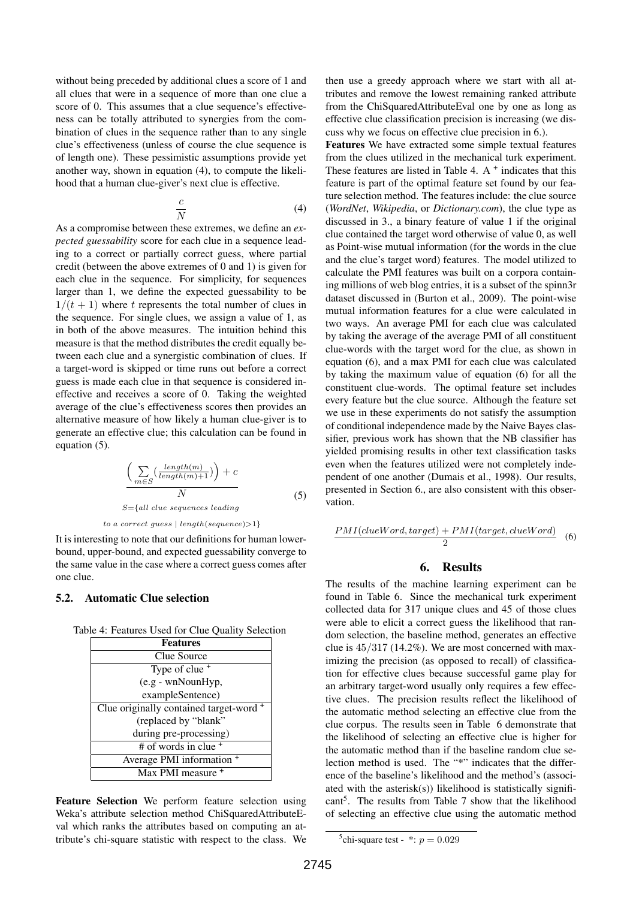without being preceded by additional clues a score of 1 and all clues that were in a sequence of more than one clue a score of 0. This assumes that a clue sequence's effectiveness can be totally attributed to synergies from the combination of clues in the sequence rather than to any single clue's effectiveness (unless of course the clue sequence is of length one). These pessimistic assumptions provide yet another way, shown in equation (4), to compute the likelihood that a human clue-giver's next clue is effective.

$$
\frac{c}{N} \tag{4}
$$

As a compromise between these extremes, we define an *expected guessability* score for each clue in a sequence leading to a correct or partially correct guess, where partial credit (between the above extremes of 0 and 1) is given for each clue in the sequence. For simplicity, for sequences larger than 1, we define the expected guessability to be  $1/(t + 1)$  where t represents the total number of clues in the sequence. For single clues, we assign a value of 1, as in both of the above measures. The intuition behind this measure is that the method distributes the credit equally between each clue and a synergistic combination of clues. If a target-word is skipped or time runs out before a correct guess is made each clue in that sequence is considered ineffective and receives a score of 0. Taking the weighted average of the clue's effectiveness scores then provides an alternative measure of how likely a human clue-giver is to generate an effective clue; this calculation can be found in equation (5).

$$
\frac{\left(\sum_{m\in S} \left(\frac{length(m)}{length(m)+1}\right)\right) + c}{N}
$$
\n
$$
S = \{all \; clue \; sequences \; leading \tag{5}
$$

to a correct guess  $| length(sequence) > 1$ }

It is interesting to note that our definitions for human lowerbound, upper-bound, and expected guessability converge to the same value in the case where a correct guess comes after one clue.

#### 5.2. Automatic Clue selection

Table 4: Features Used for Clue Quality Selection

| <b>Features</b>                         |  |  |
|-----------------------------------------|--|--|
| Clue Source                             |  |  |
| Type of clue <sup>+</sup>               |  |  |
| (e.g - wnNounHyp,                       |  |  |
| exampleSentence)                        |  |  |
| Clue originally contained target-word + |  |  |
| (replaced by "blank"                    |  |  |
| during pre-processing)                  |  |  |
| $#$ of words in clue $^+$               |  |  |
| Average PMI information <sup>+</sup>    |  |  |
| Max PMI measure <sup>+</sup>            |  |  |

Feature Selection We perform feature selection using Weka's attribute selection method ChiSquaredAttributeEval which ranks the attributes based on computing an attribute's chi-square statistic with respect to the class. We then use a greedy approach where we start with all attributes and remove the lowest remaining ranked attribute from the ChiSquaredAttributeEval one by one as long as effective clue classification precision is increasing (we discuss why we focus on effective clue precision in 6.).

Features We have extracted some simple textual features from the clues utilized in the mechanical turk experiment. These features are listed in Table 4.  $A^+$  indicates that this feature is part of the optimal feature set found by our feature selection method. The features include: the clue source (*WordNet*, *Wikipedia*, or *Dictionary.com*), the clue type as discussed in 3., a binary feature of value 1 if the original clue contained the target word otherwise of value 0, as well as Point-wise mutual information (for the words in the clue and the clue's target word) features. The model utilized to calculate the PMI features was built on a corpora containing millions of web blog entries, it is a subset of the spinn3r dataset discussed in (Burton et al., 2009). The point-wise mutual information features for a clue were calculated in two ways. An average PMI for each clue was calculated by taking the average of the average PMI of all constituent clue-words with the target word for the clue, as shown in equation (6), and a max PMI for each clue was calculated by taking the maximum value of equation (6) for all the constituent clue-words. The optimal feature set includes every feature but the clue source. Although the feature set we use in these experiments do not satisfy the assumption of conditional independence made by the Naive Bayes classifier, previous work has shown that the NB classifier has yielded promising results in other text classification tasks even when the features utilized were not completely independent of one another (Dumais et al., 1998). Our results, presented in Section 6., are also consistent with this observation.

$$
\frac{PMI(clueWord, target) + PMI(target, clueWord)}{2} \quad (6)
$$

#### 6. Results

The results of the machine learning experiment can be found in Table 6. Since the mechanical turk experiment collected data for 317 unique clues and 45 of those clues were able to elicit a correct guess the likelihood that random selection, the baseline method, generates an effective clue is 45/317 (14.2%). We are most concerned with maximizing the precision (as opposed to recall) of classification for effective clues because successful game play for an arbitrary target-word usually only requires a few effective clues. The precision results reflect the likelihood of the automatic method selecting an effective clue from the clue corpus. The results seen in Table 6 demonstrate that the likelihood of selecting an effective clue is higher for the automatic method than if the baseline random clue selection method is used. The "\*" indicates that the difference of the baseline's likelihood and the method's (associated with the asterisk(s)) likelihood is statistically signifi- $\text{cant}^5$ . The results from Table 7 show that the likelihood of selecting an effective clue using the automatic method

<sup>&</sup>lt;sup>5</sup>chi-square test -  $\cdot$  :  $p = 0.029$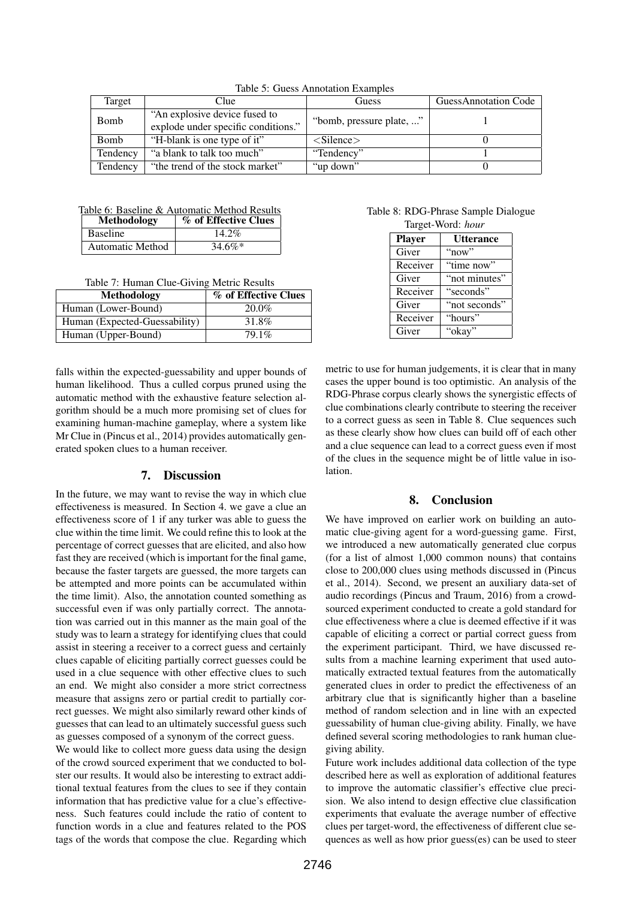| Target   | Clue                                                                  | Guess                       | <b>GuessAnnotation Code</b> |
|----------|-----------------------------------------------------------------------|-----------------------------|-----------------------------|
| Bomb     | "An explosive device fused to"<br>explode under specific conditions." | "bomb, pressure plate, "    |                             |
| Bomb     | "H-blank is one type of it"                                           | $\langle$ Silence $\rangle$ |                             |
| Tendency | "a blank to talk too much"                                            | "Tendency"                  |                             |
| Tendency | "the trend of the stock market"                                       | "up down"                   |                             |

Table 5: Guess Annotation Examples

#### Table 6: Baseline & Automatic Method Results

| Methodology             | % of Effective Clues |
|-------------------------|----------------------|
| <b>Baseline</b>         | 14.2%                |
| <b>Automatic Method</b> | $34.6\%*$            |

Table 7: Human Clue-Giving Metric Results

| <b>Methodology</b>            | % of Effective Clues |
|-------------------------------|----------------------|
| Human (Lower-Bound)           | $20.0\%$             |
| Human (Expected-Guessability) | 31.8%                |
| Human (Upper-Bound)           | 79.1%                |

falls within the expected-guessability and upper bounds of human likelihood. Thus a culled corpus pruned using the automatic method with the exhaustive feature selection algorithm should be a much more promising set of clues for examining human-machine gameplay, where a system like Mr Clue in (Pincus et al., 2014) provides automatically generated spoken clues to a human receiver.

### 7. Discussion

In the future, we may want to revise the way in which clue effectiveness is measured. In Section 4. we gave a clue an effectiveness score of 1 if any turker was able to guess the clue within the time limit. We could refine this to look at the percentage of correct guesses that are elicited, and also how fast they are received (which is important for the final game, because the faster targets are guessed, the more targets can be attempted and more points can be accumulated within the time limit). Also, the annotation counted something as successful even if was only partially correct. The annotation was carried out in this manner as the main goal of the study was to learn a strategy for identifying clues that could assist in steering a receiver to a correct guess and certainly clues capable of eliciting partially correct guesses could be used in a clue sequence with other effective clues to such an end. We might also consider a more strict correctness measure that assigns zero or partial credit to partially correct guesses. We might also similarly reward other kinds of guesses that can lead to an ultimately successful guess such as guesses composed of a synonym of the correct guess.

We would like to collect more guess data using the design of the crowd sourced experiment that we conducted to bolster our results. It would also be interesting to extract additional textual features from the clues to see if they contain information that has predictive value for a clue's effectiveness. Such features could include the ratio of content to function words in a clue and features related to the POS tags of the words that compose the clue. Regarding which

Table 8: RDG-Phrase Sample Dialogue Target-Word: *hour*

| $\ldots, \ldots$<br>110141110111 |                  |  |
|----------------------------------|------------------|--|
| <b>Player</b>                    | <b>Utterance</b> |  |
| Giver                            | "now"            |  |
| Receiver                         | "time now"       |  |
| Giver                            | "not minutes"    |  |
| Receiver                         | "seconds"        |  |
| Giver                            | "not seconds"    |  |
| Receiver                         | "hours"          |  |
| Giver                            | "okay"           |  |

metric to use for human judgements, it is clear that in many cases the upper bound is too optimistic. An analysis of the RDG-Phrase corpus clearly shows the synergistic effects of clue combinations clearly contribute to steering the receiver to a correct guess as seen in Table 8. Clue sequences such as these clearly show how clues can build off of each other and a clue sequence can lead to a correct guess even if most of the clues in the sequence might be of little value in isolation.

### 8. Conclusion

We have improved on earlier work on building an automatic clue-giving agent for a word-guessing game. First, we introduced a new automatically generated clue corpus (for a list of almost 1,000 common nouns) that contains close to 200,000 clues using methods discussed in (Pincus et al., 2014). Second, we present an auxiliary data-set of audio recordings (Pincus and Traum, 2016) from a crowdsourced experiment conducted to create a gold standard for clue effectiveness where a clue is deemed effective if it was capable of eliciting a correct or partial correct guess from the experiment participant. Third, we have discussed results from a machine learning experiment that used automatically extracted textual features from the automatically generated clues in order to predict the effectiveness of an arbitrary clue that is significantly higher than a baseline method of random selection and in line with an expected guessability of human clue-giving ability. Finally, we have defined several scoring methodologies to rank human cluegiving ability.

Future work includes additional data collection of the type described here as well as exploration of additional features to improve the automatic classifier's effective clue precision. We also intend to design effective clue classification experiments that evaluate the average number of effective clues per target-word, the effectiveness of different clue sequences as well as how prior guess(es) can be used to steer